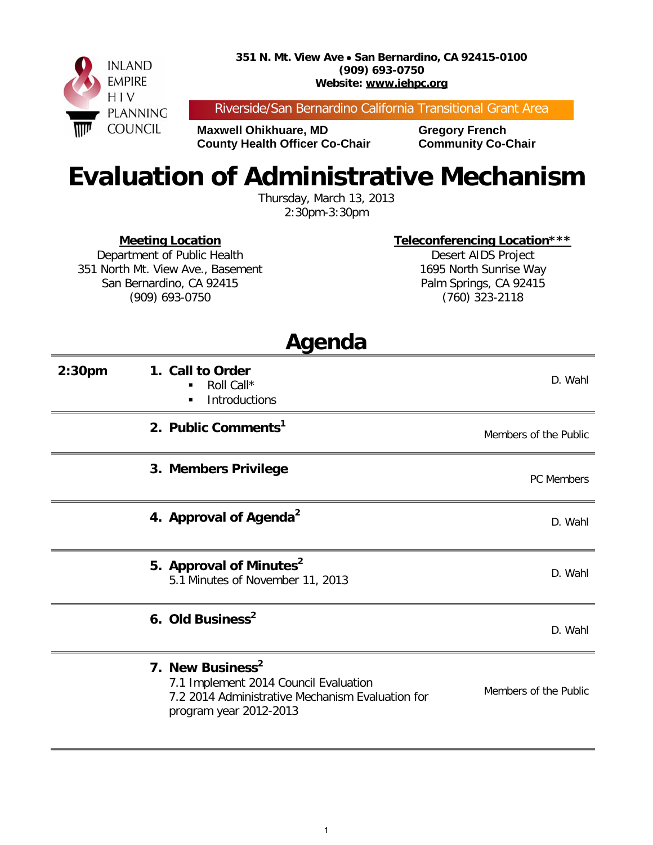

Riverside/San Bernardino California Transitional Grant Area

**Maxwell Ohikhuare, MD Gregory French County Health Officer Co-Chair Community Co-Chair** 

## **Evaluation of Administrative Mechanism**

Thursday, March 13, 2013 2:30pm-3:30pm

**Meeting Location**

**Teleconferencing Location\*\*\***

Department of Public Health 351 North Mt. View Ave., Basement San Bernardino, CA 92415 (909) 693-0750

Desert AIDS Project 1695 North Sunrise Way Palm Springs, CA 92415 (760) 323-2118

| Agenda             |                                                                                                                                                     |                       |  |  |
|--------------------|-----------------------------------------------------------------------------------------------------------------------------------------------------|-----------------------|--|--|
| 2:30 <sub>pm</sub> | 1. Call to Order<br>Roll Call*<br>$\blacksquare$<br>Introductions<br>$\blacksquare$                                                                 | D. Wahl               |  |  |
|                    | 2. Public Comments <sup>1</sup>                                                                                                                     | Members of the Public |  |  |
|                    | 3. Members Privilege                                                                                                                                | <b>PC</b> Members     |  |  |
|                    | 4. Approval of Agenda <sup>2</sup>                                                                                                                  | D. Wahl               |  |  |
|                    | 5. Approval of Minutes <sup>2</sup><br>5.1 Minutes of November 11, 2013                                                                             | D. Wahl               |  |  |
|                    | 6. Old Business <sup>2</sup>                                                                                                                        | D. Wahl               |  |  |
|                    | 7. New Business <sup>2</sup><br>7.1 Implement 2014 Council Evaluation<br>7.2 2014 Administrative Mechanism Evaluation for<br>program year 2012-2013 | Members of the Public |  |  |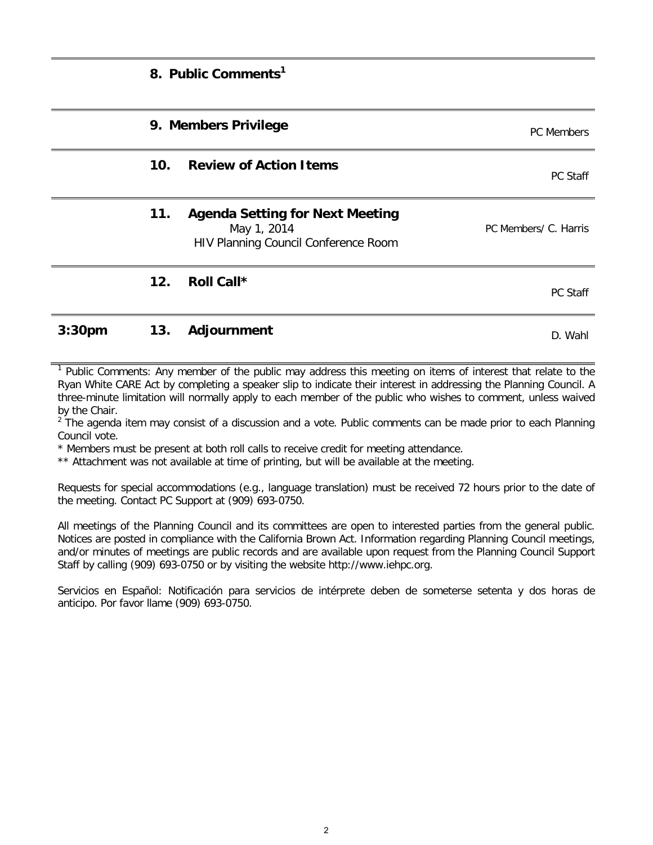|                    |     | 8. Public Comments <sup>1</sup>                                                               |                       |
|--------------------|-----|-----------------------------------------------------------------------------------------------|-----------------------|
|                    |     | 9. Members Privilege                                                                          | PC Members            |
|                    | 10. | <b>Review of Action Items</b>                                                                 | PC Staff              |
|                    | 11. | <b>Agenda Setting for Next Meeting</b><br>May 1, 2014<br>HIV Planning Council Conference Room | PC Members/ C. Harris |
|                    | 12. | Roll Call*                                                                                    | PC Staff              |
| 3:30 <sub>pm</sub> | 13. | Adjournment                                                                                   | D. Wahl               |

<sup>1</sup> Public Comments: Any member of the public may address this meeting on items of interest that relate to the Ryan White CARE Act by completing a speaker slip to indicate their interest in addressing the Planning Council. A three-minute limitation will normally apply to each member of the public who wishes to comment, unless waived by the Chair.

 $2\degree$ The agenda item may consist of a discussion and a vote. Public comments can be made prior to each Planning Council vote.

\* Members must be present at both roll calls to receive credit for meeting attendance.

\*\* Attachment was not available at time of printing, but will be available at the meeting.

Requests for special accommodations (e.g., language translation) must be received 72 hours prior to the date of the meeting. Contact PC Support at (909) 693-0750.

All meetings of the Planning Council and its committees are open to interested parties from the general public. Notices are posted in compliance with the California Brown Act. Information regarding Planning Council meetings, and/or minutes of meetings are public records and are available upon request from the Planning Council Support Staff by calling (909) 693-0750 or by visiting the website http://www.iehpc.org.

Servicios en Español: Notificación para servicios de intérprete deben de someterse setenta y dos horas de anticipo. Por favor llame (909) 693-0750.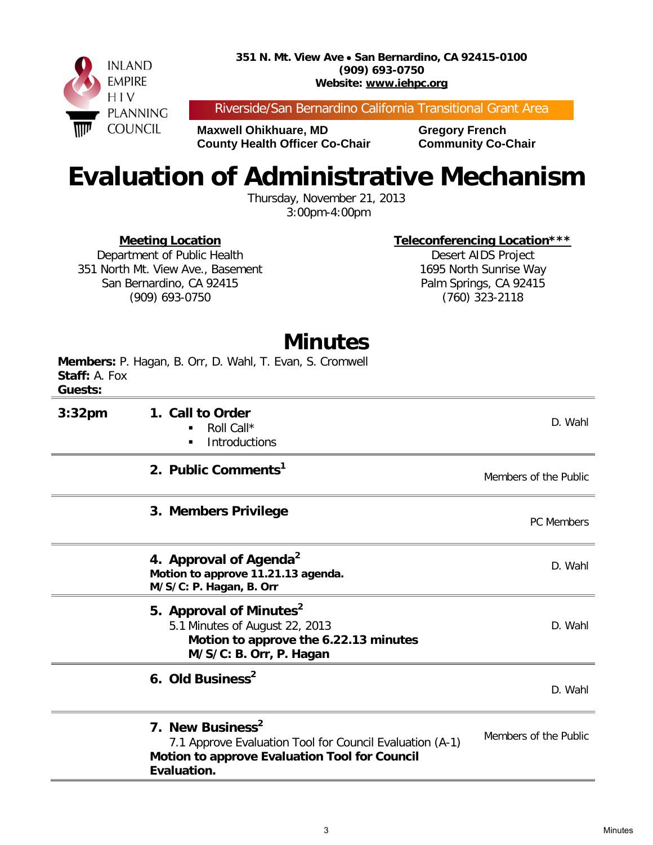

Riverside/San Bernardino California Transitional Grant Area

**Maxwell Ohikhuare, MD Gregory French County Health Officer Co-Chair Community Co-Chair** 

## **Evaluation of Administrative Mechanism**

Thursday, November 21, 2013 3:00pm-4:00pm

**Meeting Location**

**Teleconferencing Location\*\*\***

Department of Public Health 351 North Mt. View Ave., Basement San Bernardino, CA 92415 (909) 693-0750

Desert AIDS Project 1695 North Sunrise Way Palm Springs, CA 92415 (760) 323-2118

## **Minutes**

**Members:** P. Hagan, B. Orr, D. Wahl, T. Evan, S. Cromwell **Staff:** A. Fox **Guests:** 

|                    | 7. New Business <sup>2</sup><br>7.1 Approve Evaluation Tool for Council Evaluation (A-1)<br>Motion to approve Evaluation Tool for Council<br>Evaluation. | Members of the Public |
|--------------------|----------------------------------------------------------------------------------------------------------------------------------------------------------|-----------------------|
|                    | 6. Old Business <sup>2</sup>                                                                                                                             | D. Wahl               |
|                    | 5. Approval of Minutes <sup>2</sup><br>5.1 Minutes of August 22, 2013<br>Motion to approve the 6.22.13 minutes<br>M/S/C: B. Orr, P. Hagan                | D. Wahl               |
|                    | 4. Approval of Agenda <sup>2</sup><br>Motion to approve 11.21.13 agenda.<br>M/S/C: P. Hagan, B. Orr                                                      | D. Wahl               |
|                    | 3. Members Privilege                                                                                                                                     | <b>PC</b> Members     |
|                    | 2. Public Comments <sup>1</sup>                                                                                                                          | Members of the Public |
| 3:32 <sub>pm</sub> | 1. Call to Order<br>Roll Call*<br>٠<br>Introductions                                                                                                     | D. Wahl               |